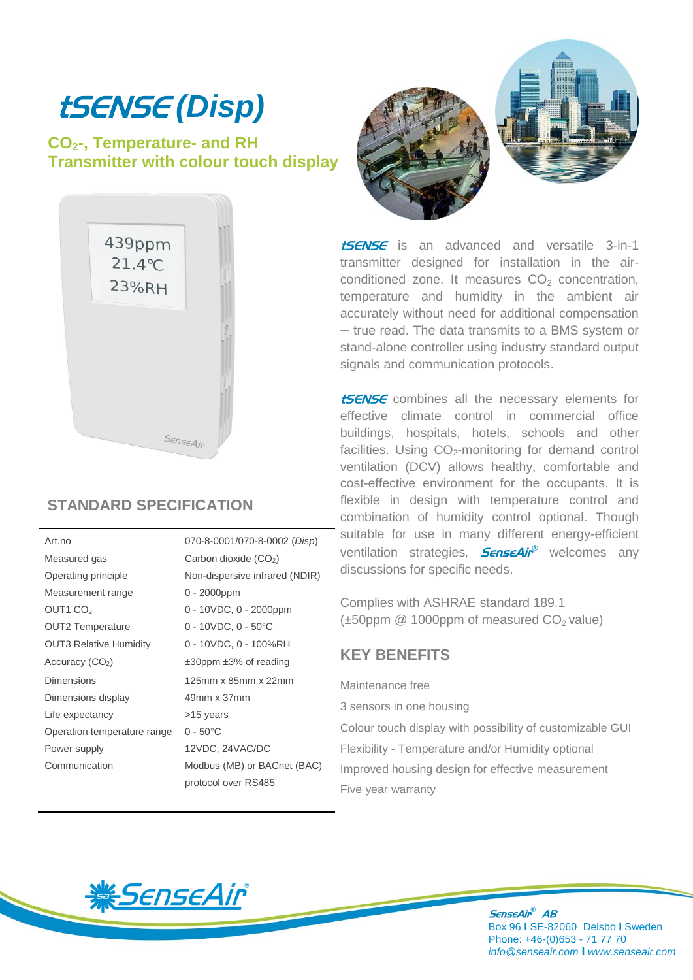# tSENSE *(Disp)*

## **CO2-, Temperature- and RH Transmitter with colour touch display**



## **STANDARD SPECIFICATION**

| Art.no                        | 070-8-0001/070-8-0002 (Disp)      |
|-------------------------------|-----------------------------------|
| Measured gas                  | Carbon dioxide $(CO2)$            |
| Operating principle           | Non-dispersive infrared (NDIR)    |
| Measurement range             | $0 - 2000$ ppm                    |
| OUT1 CO <sub>2</sub>          | $0 - 10$ VDC, $0 - 2000$ ppm      |
| <b>OUT2 Temperature</b>       | $0 - 10VDC$ , $0 - 50°C$          |
| <b>OUT3 Relative Humidity</b> | 0 - 10VDC, 0 - 100%RH             |
| Accuracy $(CO2)$              | $\pm 30$ ppm $\pm 3\%$ of reading |
| Dimensions                    | 125mm x 85mm x 22mm               |
| Dimensions display            | 49mm x 37mm                       |
| Life expectancy               | >15 years                         |
| Operation temperature range   | $0 - 50^{\circ}$ C                |
| Power supply                  | 12VDC, 24VAC/DC                   |
| Communication                 | Modbus (MB) or BACnet (BAC)       |
|                               | protocol over RS485               |



**tSENSE** is an advanced and versatile 3-in-1 transmitter designed for installation in the airconditioned zone. It measures  $CO<sub>2</sub>$  concentration, temperature and humidity in the ambient air accurately without need for additional compensation ─ true read. The data transmits to a BMS system or stand-alone controller using industry standard output signals and communication protocols.

**tSENSE** combines all the necessary elements for effective climate control in commercial office buildings, hospitals, hotels, schools and other facilities. Using  $CO<sub>2</sub>$ -monitoring for demand control ventilation (DCV) allows healthy, comfortable and cost-effective environment for the occupants. It is flexible in design with temperature control and combination of humidity control optional. Though suitable for use in many different energy-efficient ventilation strategies, **SenseAir**® welcomes any discussions for specific needs.

Complies with ASHRAE standard 189.1  $(\pm 50$ ppm @ 1000ppm of measured CO<sub>2</sub> value)

## **KEY BENEFITS**

Maintenance free

3 sensors in one housing

 Colour touch display with possibility of customizable GUI Flexibility - Temperature and/or Humidity optional Improved housing design for effective measurement Five year warranty



SenseAir *®* AB Box 96 **I** SE-82060 Delsbo **I** Sweden Phone: +46-(0)653 - 71 77 70 *info@senseair.com* **I** *www.senseair.com*